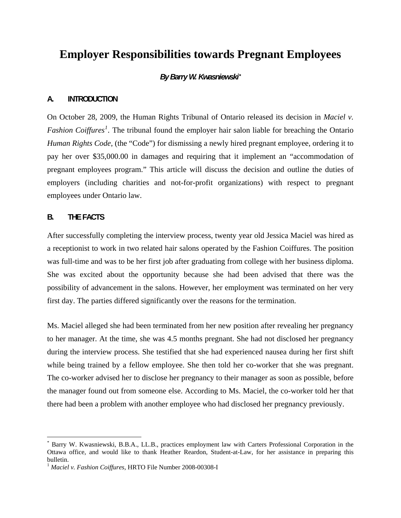# **Employer Responsibilities towards Pregnant Employees**

# *By Barry W. Kwasniewski[\\*](#page-0-0)*

### **A. INTRODUCTION**

On October 28, 2009, the Human Rights Tribunal of Ontario released its decision in *Maciel v. Fashion Coiffures<sup>[1](#page-0-1)</sup>*. The tribunal found the employer hair salon liable for breaching the Ontario *Human Rights Code*, (the "Code") for dismissing a newly hired pregnant employee, ordering it to pay her over \$35,000.00 in damages and requiring that it implement an "accommodation of pregnant employees program." This article will discuss the decision and outline the duties of employers (including charities and not-for-profit organizations) with respect to pregnant employees under Ontario law.

### **B. THE FACTS**

<u>.</u>

After successfully completing the interview process, twenty year old Jessica Maciel was hired as a receptionist to work in two related hair salons operated by the Fashion Coiffures. The position was full-time and was to be her first job after graduating from college with her business diploma. She was excited about the opportunity because she had been advised that there was the possibility of advancement in the salons. However, her employment was terminated on her very first day. The parties differed significantly over the reasons for the termination.

Ms. Maciel alleged she had been terminated from her new position after revealing her pregnancy to her manager. At the time, she was 4.5 months pregnant. She had not disclosed her pregnancy during the interview process. She testified that she had experienced nausea during her first shift while being trained by a fellow employee. She then told her co-worker that she was pregnant. The co-worker advised her to disclose her pregnancy to their manager as soon as possible, before the manager found out from someone else. According to Ms. Maciel, the co-worker told her that there had been a problem with another employee who had disclosed her pregnancy previously.

<span id="page-0-0"></span><sup>\*</sup> Barry W. Kwasniewski, B.B.A., LL.B., practices employment law with Carters Professional Corporation in the Ottawa office, and would like to thank Heather Reardon, Student-at-Law, for her assistance in preparing this bulletin.

<span id="page-0-1"></span><sup>1</sup> *Maciel v. Fashion Coiffures*, HRTO File Number 2008-00308-I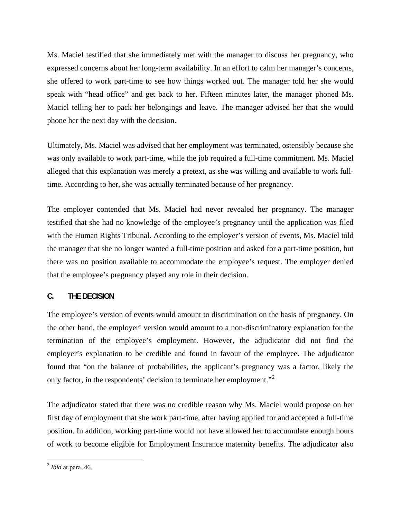Ms. Maciel testified that she immediately met with the manager to discuss her pregnancy, who expressed concerns about her long-term availability. In an effort to calm her manager's concerns, she offered to work part-time to see how things worked out. The manager told her she would speak with "head office" and get back to her. Fifteen minutes later, the manager phoned Ms. Maciel telling her to pack her belongings and leave. The manager advised her that she would phone her the next day with the decision.

Ultimately, Ms. Maciel was advised that her employment was terminated, ostensibly because she was only available to work part-time, while the job required a full-time commitment. Ms. Maciel alleged that this explanation was merely a pretext, as she was willing and available to work fulltime. According to her, she was actually terminated because of her pregnancy.

The employer contended that Ms. Maciel had never revealed her pregnancy. The manager testified that she had no knowledge of the employee's pregnancy until the application was filed with the Human Rights Tribunal. According to the employer's version of events, Ms. Maciel told the manager that she no longer wanted a full-time position and asked for a part-time position, but there was no position available to accommodate the employee's request. The employer denied that the employee's pregnancy played any role in their decision.

# **C. THE DECISION**

The employee's version of events would amount to discrimination on the basis of pregnancy. On the other hand, the employer' version would amount to a non-discriminatory explanation for the termination of the employee's employment. However, the adjudicator did not find the employer's explanation to be credible and found in favour of the employee. The adjudicator found that "on the balance of probabilities, the applicant's pregnancy was a factor, likely the only factor, in the respondents' decision to terminate her employment."[2](#page-1-0)

The adjudicator stated that there was no credible reason why Ms. Maciel would propose on her first day of employment that she work part-time, after having applied for and accepted a full-time position. In addition, working part-time would not have allowed her to accumulate enough hours of work to become eligible for Employment Insurance maternity benefits. The adjudicator also

 $\overline{a}$ 

<span id="page-1-0"></span><sup>2</sup> *Ibid* at para. 46.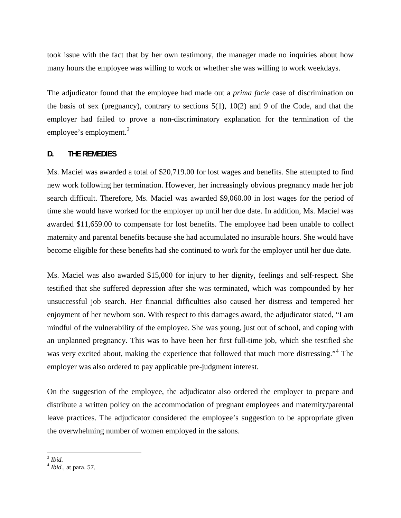took issue with the fact that by her own testimony, the manager made no inquiries about how many hours the employee was willing to work or whether she was willing to work weekdays.

The adjudicator found that the employee had made out a *prima facie* case of discrimination on the basis of sex (pregnancy), contrary to sections  $5(1)$ ,  $10(2)$  and 9 of the Code, and that the employer had failed to prove a non-discriminatory explanation for the termination of the employee's employment.<sup>[3](#page-2-0)</sup>

## **D. THE REMEDIES**

Ms. Maciel was awarded a total of \$20,719.00 for lost wages and benefits. She attempted to find new work following her termination. However, her increasingly obvious pregnancy made her job search difficult. Therefore, Ms. Maciel was awarded \$9,060.00 in lost wages for the period of time she would have worked for the employer up until her due date. In addition, Ms. Maciel was awarded \$11,659.00 to compensate for lost benefits. The employee had been unable to collect maternity and parental benefits because she had accumulated no insurable hours. She would have become eligible for these benefits had she continued to work for the employer until her due date.

Ms. Maciel was also awarded \$15,000 for injury to her dignity, feelings and self-respect. She testified that she suffered depression after she was terminated, which was compounded by her unsuccessful job search. Her financial difficulties also caused her distress and tempered her enjoyment of her newborn son. With respect to this damages award, the adjudicator stated, "I am mindful of the vulnerability of the employee. She was young, just out of school, and coping with an unplanned pregnancy. This was to have been her first full-time job, which she testified she was very excited about, making the experience that followed that much more distressing."<sup>[4](#page-2-1)</sup> The employer was also ordered to pay applicable pre-judgment interest.

On the suggestion of the employee, the adjudicator also ordered the employer to prepare and distribute a written policy on the accommodation of pregnant employees and maternity/parental leave practices. The adjudicator considered the employee's suggestion to be appropriate given the overwhelming number of women employed in the salons.

1

<span id="page-2-0"></span><sup>3</sup> *Ibid.*

<span id="page-2-1"></span><sup>4</sup> *Ibid.*, at para. 57.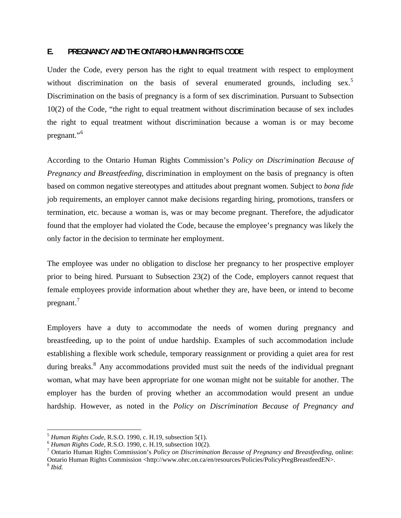# **E. PREGNANCY AND THE ONTARIO HUMAN RIGHTS CODE**

Under the Code, every person has the right to equal treatment with respect to employment without discrimination on the basis of several enumerated grounds, including sex.<sup>[5](#page-3-0)</sup> Discrimination on the basis of pregnancy is a form of sex discrimination. Pursuant to Subsection 10(2) of the Code, "the right to equal treatment without discrimination because of sex includes the right to equal treatment without discrimination because a woman is or may become pregnant."<sup>[6](#page-3-1)</sup>

According to the Ontario Human Rights Commission's *Policy on Discrimination Because of Pregnancy and Breastfeeding*, discrimination in employment on the basis of pregnancy is often based on common negative stereotypes and attitudes about pregnant women. Subject to *bona fide*  job requirements, an employer cannot make decisions regarding hiring, promotions, transfers or termination, etc. because a woman is, was or may become pregnant. Therefore, the adjudicator found that the employer had violated the Code, because the employee's pregnancy was likely the only factor in the decision to terminate her employment.

The employee was under no obligation to disclose her pregnancy to her prospective employer prior to being hired. Pursuant to Subsection 23(2) of the Code, employers cannot request that female employees provide information about whether they are, have been, or intend to become pregnant.<sup>[7](#page-3-2)</sup>

Employers have a duty to accommodate the needs of women during pregnancy and breastfeeding, up to the point of undue hardship. Examples of such accommodation include establishing a flexible work schedule, temporary reassignment or providing a quiet area for rest during breaks.<sup>[8](#page-3-3)</sup> Any accommodations provided must suit the needs of the individual pregnant woman, what may have been appropriate for one woman might not be suitable for another. The employer has the burden of proving whether an accommodation would present an undue hardship. However, as noted in the *Policy on Discrimination Because of Pregnancy and* 

1

<span id="page-3-0"></span><sup>5</sup> *Human Rights Code*, R.S.O. 1990, c. H.19, subsection 5(1). 6 *Human Rights Code*, R.S.O. 1990, c. H.19, subsection 10(2). 7

<span id="page-3-1"></span>

<span id="page-3-3"></span><span id="page-3-2"></span>Ontario Human Rights Commission's *Policy on Discrimination Because of Pregnancy and Breastfeeding*, online: Ontario Human Rights Commission <http://www.ohrc.on.ca/en/resources/Policies/PolicyPregBreastfeedEN>. <sup>8</sup> *Ibid.*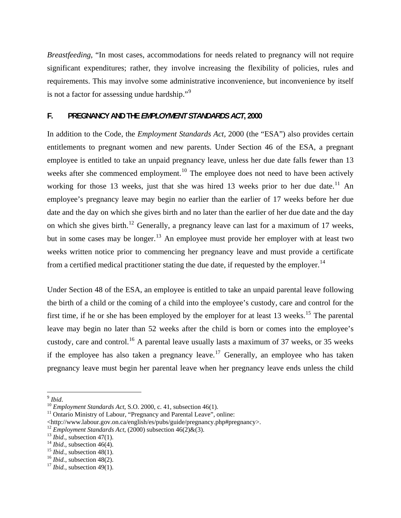*Breastfeeding*, "In most cases, accommodations for needs related to pregnancy will not require significant expenditures; rather, they involve increasing the flexibility of policies, rules and requirements. This may involve some administrative inconvenience, but inconvenience by itself is not a factor for assessing undue hardship."<sup>[9](#page-4-0)</sup>

# **F. PREGNANCY AND THE** *EMPLOYMENT STANDARDS ACT***, 2000**

In addition to the Code, the *Employment Standards Act,* 2000 (the "ESA") also provides certain entitlements to pregnant women and new parents. Under Section 46 of the ESA, a pregnant employee is entitled to take an unpaid pregnancy leave, unless her due date falls fewer than 13 weeks after she commenced employment.<sup>[10](#page-4-1)</sup> The employee does not need to have been actively working for those 13 weeks, just that she was hired 13 weeks prior to her due date.<sup>[11](#page-4-2)</sup> An employee's pregnancy leave may begin no earlier than the earlier of 17 weeks before her due date and the day on which she gives birth and no later than the earlier of her due date and the day on which she gives birth.<sup>[12](#page-4-3)</sup> Generally, a pregnancy leave can last for a maximum of 17 weeks, but in some cases may be longer.<sup>[13](#page-4-4)</sup> An employee must provide her employer with at least two weeks written notice prior to commencing her pregnancy leave and must provide a certificate from a certified medical practitioner stating the due date, if requested by the employer.<sup>[14](#page-4-5)</sup>

Under Section 48 of the ESA, an employee is entitled to take an unpaid parental leave following the birth of a child or the coming of a child into the employee's custody, care and control for the first time, if he or she has been employed by the employer for at least 13 weeks.<sup>[15](#page-4-6)</sup> The parental leave may begin no later than 52 weeks after the child is born or comes into the employee's custody, care and control.<sup>[16](#page-4-7)</sup> A parental leave usually lasts a maximum of 37 weeks, or 35 weeks if the employee has also taken a pregnancy leave.<sup>[17](#page-4-8)</sup> Generally, an employee who has taken pregnancy leave must begin her parental leave when her pregnancy leave ends unless the child

 $\overline{a}$ 

<span id="page-4-1"></span><span id="page-4-0"></span><sup>&</sup>lt;sup>9</sup> *Ibid.* 10 *Employment Standards Act*, S.O. 2000, c. 41, subsection 46(1). <sup>11</sup> Ontario Ministry of Labour, "Pregnancy and Parental Leave", online:

<span id="page-4-2"></span><sup>\</sup>strategram X-tabour.gov.on.ca/english/es/pubs/guide/pregnancy.php#pregnancy>.<br>
<sup>12</sup> *Employment Standards Act*, (2000) subsection 46(2)&(3).<br>
<sup>13</sup> *Ibid.*, subsection 47(1).<br>
<sup>14</sup> *Ibid.*, subsection 46(4).<br>
<sup>15</sup> *Ibid.* 

<span id="page-4-3"></span>

<span id="page-4-4"></span>

<span id="page-4-5"></span>

<span id="page-4-6"></span>

<span id="page-4-7"></span>

<span id="page-4-8"></span>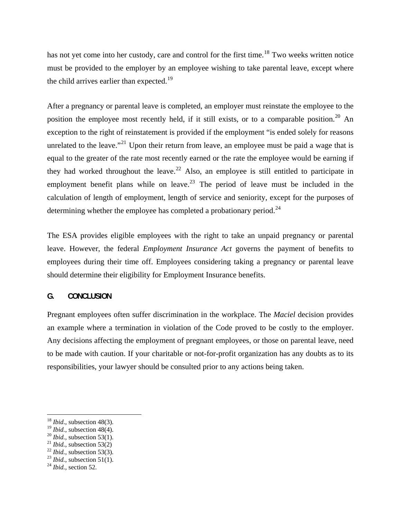has not yet come into her custody, care and control for the first time.<sup>[18](#page-5-0)</sup> Two weeks written notice must be provided to the employer by an employee wishing to take parental leave, except where the child arrives earlier than expected.<sup>[19](#page-5-1)</sup>

After a pregnancy or parental leave is completed, an employer must reinstate the employee to the position the employee most recently held, if it still exists, or to a comparable position.<sup>[20](#page-5-2)</sup> An exception to the right of reinstatement is provided if the employment "is ended solely for reasons unrelated to the leave."<sup>[21](#page-5-3)</sup> Upon their return from leave, an employee must be paid a wage that is equal to the greater of the rate most recently earned or the rate the employee would be earning if they had worked throughout the leave.<sup>[22](#page-5-4)</sup> Also, an employee is still entitled to participate in employment benefit plans while on leave.<sup>[23](#page-5-5)</sup> The period of leave must be included in the calculation of length of employment, length of service and seniority, except for the purposes of determining whether the employee has completed a probationary period.<sup>[24](#page-5-6)</sup>

The ESA provides eligible employees with the right to take an unpaid pregnancy or parental leave. However, the federal *Employment Insurance Act* governs the payment of benefits to employees during their time off. Employees considering taking a pregnancy or parental leave should determine their eligibility for Employment Insurance benefits.

# **G. CONCLUSION**

Pregnant employees often suffer discrimination in the workplace. The *Maciel* decision provides an example where a termination in violation of the Code proved to be costly to the employer. Any decisions affecting the employment of pregnant employees, or those on parental leave, need to be made with caution. If your charitable or not-for-profit organization has any doubts as to its responsibilities, your lawyer should be consulted prior to any actions being taken.

 $\overline{a}$ 

<span id="page-5-0"></span><sup>&</sup>lt;sup>18</sup> *Ibid.*, subsection 48(3).<br><sup>19</sup> *Ibid.*, subsection 48(4).

<span id="page-5-1"></span>

<span id="page-5-3"></span>

<span id="page-5-5"></span><span id="page-5-4"></span>

<span id="page-5-2"></span><sup>&</sup>lt;sup>20</sup> *Ibid.*, subsection 53(1).<br><sup>21</sup> *Ibid.*, subsection 53(2)<br><sup>22</sup> *Ibid.*, subsection 51(1).<br><sup>24</sup> *Ibid.*, section 52.

<span id="page-5-6"></span>